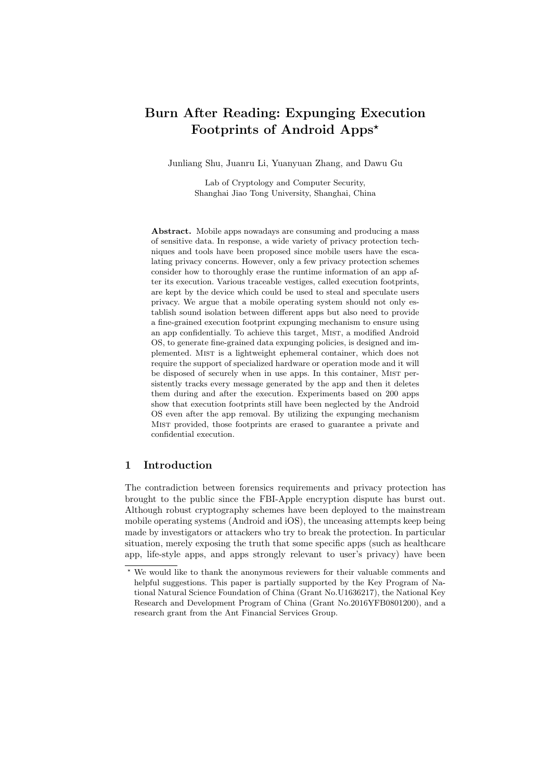# Burn After Reading: Expunging Execution Footprints of Android Apps<sup>\*</sup>

Junliang Shu, Juanru Li, Yuanyuan Zhang, and Dawu Gu

Lab of Cryptology and Computer Security, Shanghai Jiao Tong University, Shanghai, China

Abstract. Mobile apps nowadays are consuming and producing a mass of sensitive data. In response, a wide variety of privacy protection techniques and tools have been proposed since mobile users have the escalating privacy concerns. However, only a few privacy protection schemes consider how to thoroughly erase the runtime information of an app after its execution. Various traceable vestiges, called execution footprints, are kept by the device which could be used to steal and speculate users privacy. We argue that a mobile operating system should not only establish sound isolation between different apps but also need to provide a fine-grained execution footprint expunging mechanism to ensure using an app confidentially. To achieve this target, Mist, a modified Android OS, to generate fine-grained data expunging policies, is designed and implemented. Mist is a lightweight ephemeral container, which does not require the support of specialized hardware or operation mode and it will be disposed of securely when in use apps. In this container, Mist persistently tracks every message generated by the app and then it deletes them during and after the execution. Experiments based on 200 apps show that execution footprints still have been neglected by the Android OS even after the app removal. By utilizing the expunging mechanism Mist provided, those footprints are erased to guarantee a private and confidential execution.

## 1 Introduction

The contradiction between forensics requirements and privacy protection has brought to the public since the FBI-Apple encryption dispute has burst out. Although robust cryptography schemes have been deployed to the mainstream mobile operating systems (Android and iOS), the unceasing attempts keep being made by investigators or attackers who try to break the protection. In particular situation, merely exposing the truth that some specific apps (such as healthcare app, life-style apps, and apps strongly relevant to user's privacy) have been

 $^{\star}$  We would like to thank the anonymous reviewers for their valuable comments and helpful suggestions. This paper is partially supported by the Key Program of National Natural Science Foundation of China (Grant No.U1636217), the National Key Research and Development Program of China (Grant No.2016YFB0801200), and a research grant from the Ant Financial Services Group.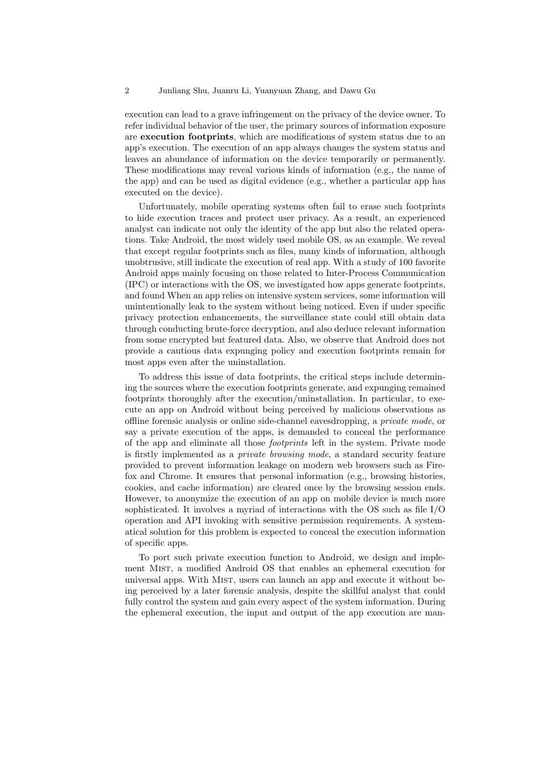execution can lead to a grave infringement on the privacy of the device owner. To refer individual behavior of the user, the primary sources of information exposure are execution footprints, which are modifications of system status due to an app's execution. The execution of an app always changes the system status and leaves an abundance of information on the device temporarily or permanently. These modifications may reveal various kinds of information (e.g., the name of the app) and can be used as digital evidence (e.g., whether a particular app has executed on the device).

Unfortunately, mobile operating systems often fail to erase such footprints to hide execution traces and protect user privacy. As a result, an experienced analyst can indicate not only the identity of the app but also the related operations. Take Android, the most widely used mobile OS, as an example. We reveal that except regular footprints such as files, many kinds of information, although unobtrusive, still indicate the execution of real app. With a study of 100 favorite Android apps mainly focusing on those related to Inter-Process Communication (IPC) or interactions with the OS, we investigated how apps generate footprints, and found When an app relies on intensive system services, some information will unintentionally leak to the system without being noticed. Even if under specific privacy protection enhancements, the surveillance state could still obtain data through conducting brute-force decryption, and also deduce relevant information from some encrypted but featured data. Also, we observe that Android does not provide a cautious data expunging policy and execution footprints remain for most apps even after the uninstallation.

To address this issue of data footprints, the critical steps include determining the sources where the execution footprints generate, and expunging remained footprints thoroughly after the execution/uninstallation. In particular, to execute an app on Android without being perceived by malicious observations as offline forensic analysis or online side-channel eavesdropping, a private mode, or say a private execution of the apps, is demanded to conceal the performance of the app and eliminate all those footprints left in the system. Private mode is firstly implemented as a private browsing mode, a standard security feature provided to prevent information leakage on modern web browsers such as Firefox and Chrome. It ensures that personal information (e.g., browsing histories, cookies, and cache information) are cleared once by the browsing session ends. However, to anonymize the execution of an app on mobile device is much more sophisticated. It involves a myriad of interactions with the OS such as file I/O operation and API invoking with sensitive permission requirements. A systematical solution for this problem is expected to conceal the execution information of specific apps.

To port such private execution function to Android, we design and implement Mist, a modified Android OS that enables an ephemeral execution for universal apps. With Mist, users can launch an app and execute it without being perceived by a later forensic analysis, despite the skillful analyst that could fully control the system and gain every aspect of the system information. During the ephemeral execution, the input and output of the app execution are man-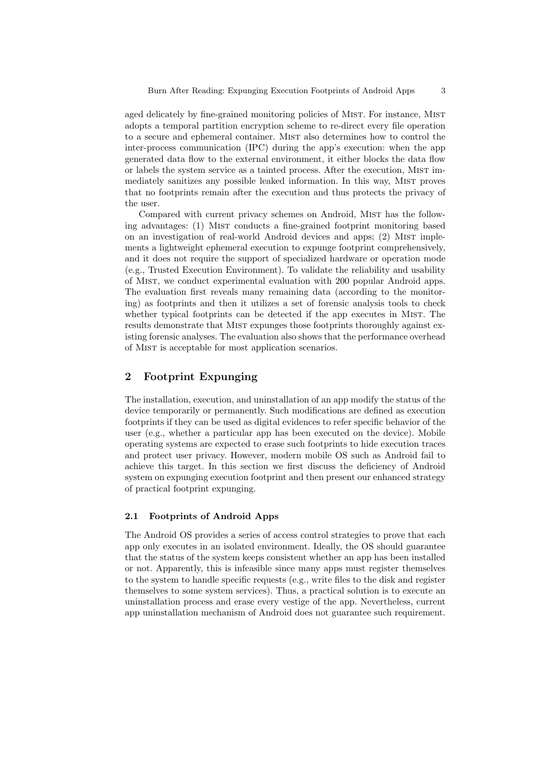aged delicately by fine-grained monitoring policies of Mist. For instance, Mist adopts a temporal partition encryption scheme to re-direct every file operation to a secure and ephemeral container. Mist also determines how to control the inter-process communication (IPC) during the app's execution: when the app generated data flow to the external environment, it either blocks the data flow or labels the system service as a tainted process. After the execution, MIST immediately sanitizes any possible leaked information. In this way, Mist proves that no footprints remain after the execution and thus protects the privacy of the user.

Compared with current privacy schemes on Android, Mist has the following advantages: (1) Mist conducts a fine-grained footprint monitoring based on an investigation of real-world Android devices and apps; (2) Mist implements a lightweight ephemeral execution to expunge footprint comprehensively, and it does not require the support of specialized hardware or operation mode (e.g., Trusted Execution Environment). To validate the reliability and usability of Mist, we conduct experimental evaluation with 200 popular Android apps. The evaluation first reveals many remaining data (according to the monitoring) as footprints and then it utilizes a set of forensic analysis tools to check whether typical footprints can be detected if the app executes in MIST. The results demonstrate that MIST expunges those footprints thoroughly against existing forensic analyses. The evaluation also shows that the performance overhead of Mist is acceptable for most application scenarios.

# 2 Footprint Expunging

The installation, execution, and uninstallation of an app modify the status of the device temporarily or permanently. Such modifications are defined as execution footprints if they can be used as digital evidences to refer specific behavior of the user (e.g., whether a particular app has been executed on the device). Mobile operating systems are expected to erase such footprints to hide execution traces and protect user privacy. However, modern mobile OS such as Android fail to achieve this target. In this section we first discuss the deficiency of Android system on expunging execution footprint and then present our enhanced strategy of practical footprint expunging.

## 2.1 Footprints of Android Apps

The Android OS provides a series of access control strategies to prove that each app only executes in an isolated environment. Ideally, the OS should guarantee that the status of the system keeps consistent whether an app has been installed or not. Apparently, this is infeasible since many apps must register themselves to the system to handle specific requests (e.g., write files to the disk and register themselves to some system services). Thus, a practical solution is to execute an uninstallation process and erase every vestige of the app. Nevertheless, current app uninstallation mechanism of Android does not guarantee such requirement.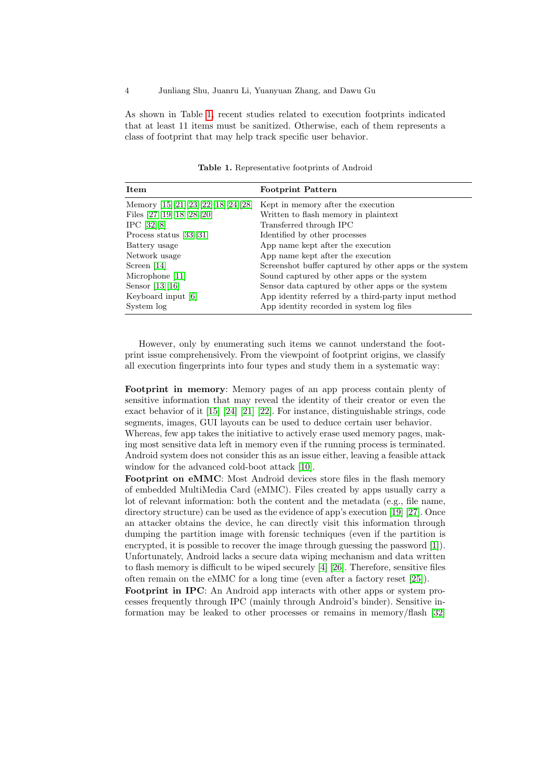As shown in Table [1,](#page-3-0) recent studies related to execution footprints indicated that at least 11 items must be sanitized. Otherwise, each of them represents a class of footprint that may help track specific user behavior.

| Item                                | <b>Footprint Pattern</b>                               |
|-------------------------------------|--------------------------------------------------------|
| Memory [15][21][23][22][18][24][28] | Kept in memory after the execution                     |
| Files $[27][19][18][28][20]$        | Written to flash memory in plaintext                   |
| [PC [32][8]                         | Transferred through IPC                                |
| Process status $[33][31]$           | Identified by other processes                          |
| Battery usage                       | App name kept after the execution                      |
| Network usage                       | App name kept after the execution                      |
| Screen $[14]$                       | Screenshot buffer captured by other apps or the system |
| Microphone [11]                     | Sound captured by other apps or the system             |
| Sensor $[13][16]$                   | Sensor data captured by other apps or the system       |
| Keyboard input [6]                  | App identity referred by a third-party input method    |
| System log                          | App identity recorded in system log files              |

<span id="page-3-0"></span>Table 1. Representative footprints of Android

However, only by enumerating such items we cannot understand the footprint issue comprehensively. From the viewpoint of footprint origins, we classify all execution fingerprints into four types and study them in a systematic way:

Footprint in memory: Memory pages of an app process contain plenty of sensitive information that may reveal the identity of their creator or even the exact behavior of it [\[15\]](#page-16-0) [\[24\]](#page-17-2) [\[21\]](#page-16-1) [\[22\]](#page-17-1). For instance, distinguishable strings, code segments, images, GUI layouts can be used to deduce certain user behavior.

Whereas, few app takes the initiative to actively erase used memory pages, making most sensitive data left in memory even if the running process is terminated. Android system does not consider this as an issue either, leaving a feasible attack window for the advanced cold-boot attack [\[10\]](#page-16-11).

Footprint on eMMC: Most Android devices store files in the flash memory of embedded MultiMedia Card (eMMC). Files created by apps usually carry a lot of relevant information: both the content and the metadata (e.g., file name, directory structure) can be used as the evidence of app's execution [\[19\]](#page-16-3) [\[27\]](#page-17-4). Once an attacker obtains the device, he can directly visit this information through dumping the partition image with forensic techniques (even if the partition is encrypted, it is possible to recover the image through guessing the password [\[1\]](#page-15-0)). Unfortunately, Android lacks a secure data wiping mechanism and data written to flash memory is difficult to be wiped securely [\[4\]](#page-16-12) [\[26\]](#page-17-8). Therefore, sensitive files often remain on the eMMC for a long time (even after a factory reset [\[25\]](#page-17-9)).

Footprint in IPC: An Android app interacts with other apps or system processes frequently through IPC (mainly through Android's binder). Sensitive information may be leaked to other processes or remains in memory/flash [\[32\]](#page-17-5)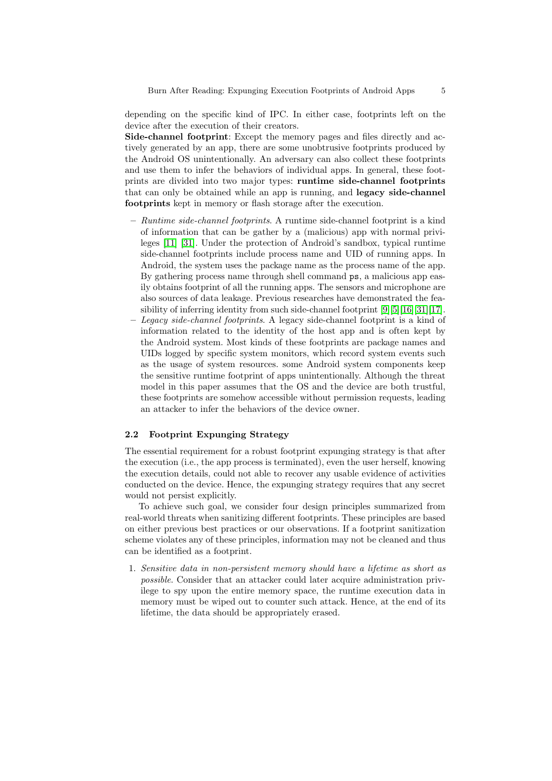depending on the specific kind of IPC. In either case, footprints left on the device after the execution of their creators.

Side-channel footprint: Except the memory pages and files directly and actively generated by an app, there are some unobtrusive footprints produced by the Android OS unintentionally. An adversary can also collect these footprints and use them to infer the behaviors of individual apps. In general, these footprints are divided into two major types: runtime side-channel footprints that can only be obtained while an app is running, and legacy side-channel footprints kept in memory or flash storage after the execution.

- $-$  Runtime side-channel footprints. A runtime side-channel footprint is a kind of information that can be gather by a (malicious) app with normal privileges [\[11\]](#page-16-7) [\[31\]](#page-17-7). Under the protection of Android's sandbox, typical runtime side-channel footprints include process name and UID of running apps. In Android, the system uses the package name as the process name of the app. By gathering process name through shell command ps, a malicious app easily obtains footprint of all the running apps. The sensors and microphone are also sources of data leakage. Previous researches have demonstrated the fea-sibility of inferring identity from such side-channel footprint [\[9\]](#page-16-13)[\[5\]](#page-16-14)[\[16\]](#page-16-9)[\[31\]](#page-17-7)[\[17\]](#page-16-15).
- Legacy side-channel footprints. A legacy side-channel footprint is a kind of information related to the identity of the host app and is often kept by the Android system. Most kinds of these footprints are package names and UIDs logged by specific system monitors, which record system events such as the usage of system resources. some Android system components keep the sensitive runtime footprint of apps unintentionally. Although the threat model in this paper assumes that the OS and the device are both trustful, these footprints are somehow accessible without permission requests, leading an attacker to infer the behaviors of the device owner.

## <span id="page-4-0"></span>2.2 Footprint Expunging Strategy

The essential requirement for a robust footprint expunging strategy is that after the execution (i.e., the app process is terminated), even the user herself, knowing the execution details, could not able to recover any usable evidence of activities conducted on the device. Hence, the expunging strategy requires that any secret would not persist explicitly.

To achieve such goal, we consider four design principles summarized from real-world threats when sanitizing different footprints. These principles are based on either previous best practices or our observations. If a footprint sanitization scheme violates any of these principles, information may not be cleaned and thus can be identified as a footprint.

1. Sensitive data in non-persistent memory should have a lifetime as short as possible. Consider that an attacker could later acquire administration privilege to spy upon the entire memory space, the runtime execution data in memory must be wiped out to counter such attack. Hence, at the end of its lifetime, the data should be appropriately erased.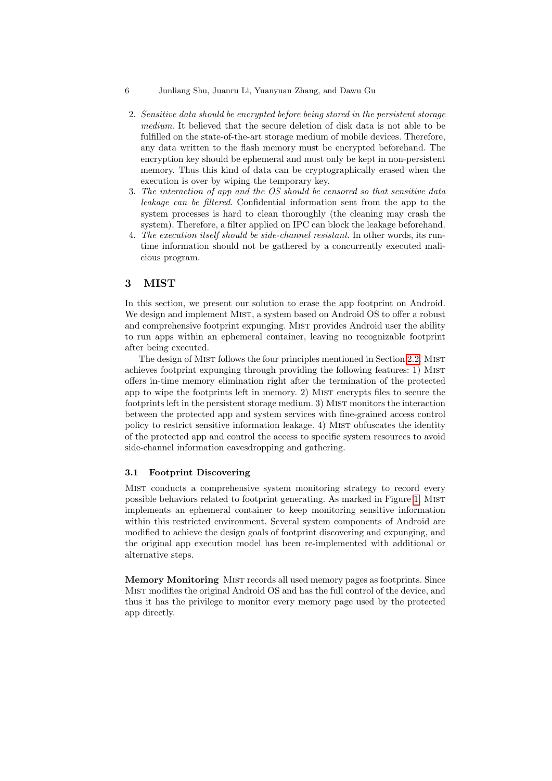- 6 Junliang Shu, Juanru Li, Yuanyuan Zhang, and Dawu Gu
- 2. Sensitive data should be encrypted before being stored in the persistent storage medium. It believed that the secure deletion of disk data is not able to be fulfilled on the state-of-the-art storage medium of mobile devices. Therefore, any data written to the flash memory must be encrypted beforehand. The encryption key should be ephemeral and must only be kept in non-persistent memory. Thus this kind of data can be cryptographically erased when the execution is over by wiping the temporary key.
- 3. The interaction of app and the OS should be censored so that sensitive data leakage can be filtered. Confidential information sent from the app to the system processes is hard to clean thoroughly (the cleaning may crash the system). Therefore, a filter applied on IPC can block the leakage beforehand.
- 4. The execution itself should be side-channel resistant. In other words, its runtime information should not be gathered by a concurrently executed malicious program.

## 3 MIST

In this section, we present our solution to erase the app footprint on Android. We design and implement MIST, a system based on Android OS to offer a robust and comprehensive footprint expunging. Mist provides Android user the ability to run apps within an ephemeral container, leaving no recognizable footprint after being executed.

The design of MIST follows the four principles mentioned in Section [2.2.](#page-4-0) MIST achieves footprint expunging through providing the following features: 1) Mist offers in-time memory elimination right after the termination of the protected app to wipe the footprints left in memory. 2) Mist encrypts files to secure the footprints left in the persistent storage medium. 3) Mist monitors the interaction between the protected app and system services with fine-grained access control policy to restrict sensitive information leakage. 4) Mist obfuscates the identity of the protected app and control the access to specific system resources to avoid side-channel information eavesdropping and gathering.

## 3.1 Footprint Discovering

Mist conducts a comprehensive system monitoring strategy to record every possible behaviors related to footprint generating. As marked in Figure [1,](#page-6-0) Mist implements an ephemeral container to keep monitoring sensitive information within this restricted environment. Several system components of Android are modified to achieve the design goals of footprint discovering and expunging, and the original app execution model has been re-implemented with additional or alternative steps.

Memory Monitoring Mist records all used memory pages as footprints. Since Mist modifies the original Android OS and has the full control of the device, and thus it has the privilege to monitor every memory page used by the protected app directly.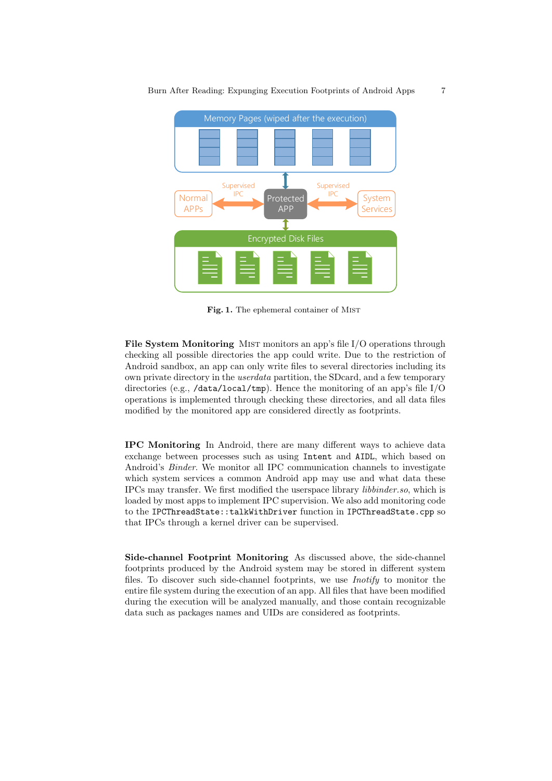

<span id="page-6-0"></span>Fig. 1. The ephemeral container of Mist

File System Monitoring MIST monitors an app's file I/O operations through checking all possible directories the app could write. Due to the restriction of Android sandbox, an app can only write files to several directories including its own private directory in the userdata partition, the SDcard, and a few temporary directories (e.g., /data/local/tmp). Hence the monitoring of an app's file I/O operations is implemented through checking these directories, and all data files modified by the monitored app are considered directly as footprints.

IPC Monitoring In Android, there are many different ways to achieve data exchange between processes such as using Intent and AIDL, which based on Android's Binder. We monitor all IPC communication channels to investigate which system services a common Android app may use and what data these IPCs may transfer. We first modified the userspace library libbinder.so, which is loaded by most apps to implement IPC supervision. We also add monitoring code to the IPCThreadState::talkWithDriver function in IPCThreadState.cpp so that IPCs through a kernel driver can be supervised.

Side-channel Footprint Monitoring As discussed above, the side-channel footprints produced by the Android system may be stored in different system files. To discover such side-channel footprints, we use Inotify to monitor the entire file system during the execution of an app. All files that have been modified during the execution will be analyzed manually, and those contain recognizable data such as packages names and UIDs are considered as footprints.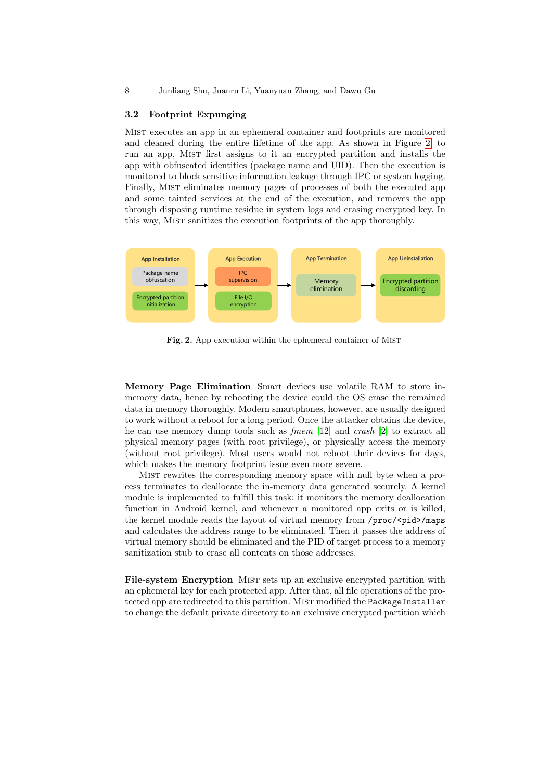## 3.2 Footprint Expunging

Mist executes an app in an ephemeral container and footprints are monitored and cleaned during the entire lifetime of the app. As shown in Figure [2,](#page-7-0) to run an app, Mist first assigns to it an encrypted partition and installs the app with obfuscated identities (package name and UID). Then the execution is monitored to block sensitive information leakage through IPC or system logging. Finally, Mist eliminates memory pages of processes of both the executed app and some tainted services at the end of the execution, and removes the app through disposing runtime residue in system logs and erasing encrypted key. In this way, Mist sanitizes the execution footprints of the app thoroughly.



<span id="page-7-0"></span>Fig. 2. App execution within the ephemeral container of Mist

Memory Page Elimination Smart devices use volatile RAM to store inmemory data, hence by rebooting the device could the OS erase the remained data in memory thoroughly. Modern smartphones, however, are usually designed to work without a reboot for a long period. Once the attacker obtains the device, he can use memory dump tools such as *fmem* [\[12\]](#page-16-16) and *crash* [\[2\]](#page-15-1) to extract all physical memory pages (with root privilege), or physically access the memory (without root privilege). Most users would not reboot their devices for days, which makes the memory footprint issue even more severe.

Mist rewrites the corresponding memory space with null byte when a process terminates to deallocate the in-memory data generated securely. A kernel module is implemented to fulfill this task: it monitors the memory deallocation function in Android kernel, and whenever a monitored app exits or is killed, the kernel module reads the layout of virtual memory from /proc/<pid>/maps and calculates the address range to be eliminated. Then it passes the address of virtual memory should be eliminated and the PID of target process to a memory sanitization stub to erase all contents on those addresses.

File-system Encryption MIST sets up an exclusive encrypted partition with an ephemeral key for each protected app. After that, all file operations of the protected app are redirected to this partition. MIST modified the PackageInstaller to change the default private directory to an exclusive encrypted partition which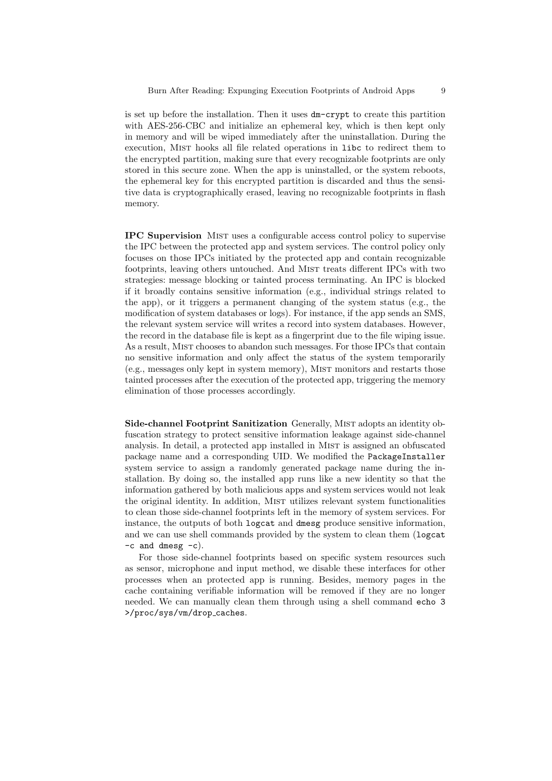is set up before the installation. Then it uses dm-crypt to create this partition with AES-256-CBC and initialize an ephemeral key, which is then kept only in memory and will be wiped immediately after the uninstallation. During the execution, Mist hooks all file related operations in libc to redirect them to the encrypted partition, making sure that every recognizable footprints are only stored in this secure zone. When the app is uninstalled, or the system reboots, the ephemeral key for this encrypted partition is discarded and thus the sensitive data is cryptographically erased, leaving no recognizable footprints in flash memory.

IPC Supervision Mist uses a configurable access control policy to supervise the IPC between the protected app and system services. The control policy only focuses on those IPCs initiated by the protected app and contain recognizable footprints, leaving others untouched. And MIST treats different IPCs with two strategies: message blocking or tainted process terminating. An IPC is blocked if it broadly contains sensitive information (e.g., individual strings related to the app), or it triggers a permanent changing of the system status (e.g., the modification of system databases or logs). For instance, if the app sends an SMS, the relevant system service will writes a record into system databases. However, the record in the database file is kept as a fingerprint due to the file wiping issue. As a result, MIST chooses to abandon such messages. For those IPCs that contain no sensitive information and only affect the status of the system temporarily (e.g., messages only kept in system memory), Mist monitors and restarts those tainted processes after the execution of the protected app, triggering the memory elimination of those processes accordingly.

Side-channel Footprint Sanitization Generally, Mist adopts an identity obfuscation strategy to protect sensitive information leakage against side-channel analysis. In detail, a protected app installed in Mist is assigned an obfuscated package name and a corresponding UID. We modified the PackageInstaller system service to assign a randomly generated package name during the installation. By doing so, the installed app runs like a new identity so that the information gathered by both malicious apps and system services would not leak the original identity. In addition, MIST utilizes relevant system functionalities to clean those side-channel footprints left in the memory of system services. For instance, the outputs of both logcat and dmesg produce sensitive information, and we can use shell commands provided by the system to clean them (logcat  $-c$  and dmesg  $-c$ ).

For those side-channel footprints based on specific system resources such as sensor, microphone and input method, we disable these interfaces for other processes when an protected app is running. Besides, memory pages in the cache containing verifiable information will be removed if they are no longer needed. We can manually clean them through using a shell command echo 3 >/proc/sys/vm/drop caches.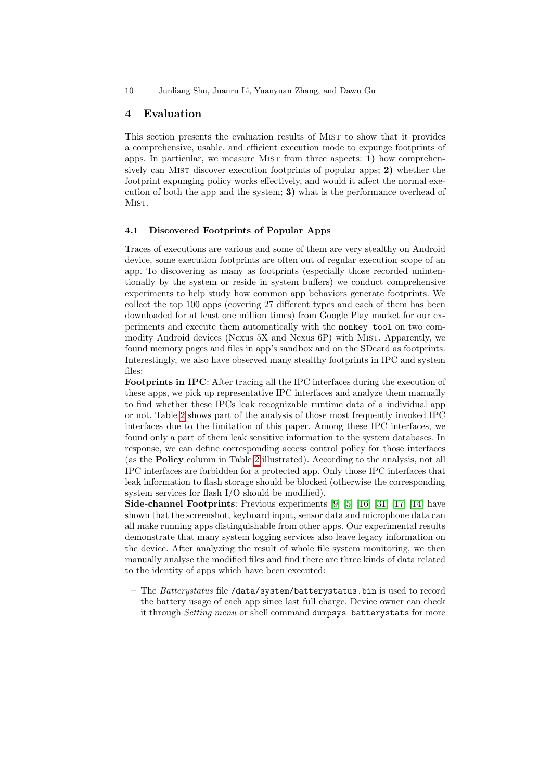## 4 Evaluation

This section presents the evaluation results of MIST to show that it provides a comprehensive, usable, and efficient execution mode to expunge footprints of apps. In particular, we measure Mist from three aspects: 1) how comprehensively can MIST discover execution footprints of popular apps; 2) whether the footprint expunging policy works effectively, and would it affect the normal execution of both the app and the system; 3) what is the performance overhead of MIST.

## <span id="page-9-0"></span>4.1 Discovered Footprints of Popular Apps

Traces of executions are various and some of them are very stealthy on Android device, some execution footprints are often out of regular execution scope of an app. To discovering as many as footprints (especially those recorded unintentionally by the system or reside in system buffers) we conduct comprehensive experiments to help study how common app behaviors generate footprints. We collect the top 100 apps (covering 27 different types and each of them has been downloaded for at least one million times) from Google Play market for our experiments and execute them automatically with the monkey tool on two commodity Android devices (Nexus 5X and Nexus 6P) with Mist. Apparently, we found memory pages and files in app's sandbox and on the SDcard as footprints. Interestingly, we also have observed many stealthy footprints in IPC and system files:

Footprints in IPC: After tracing all the IPC interfaces during the execution of these apps, we pick up representative IPC interfaces and analyze them manually to find whether these IPCs leak recognizable runtime data of a individual app or not. Table [2](#page-10-0) shows part of the analysis of those most frequently invoked IPC interfaces due to the limitation of this paper. Among these IPC interfaces, we found only a part of them leak sensitive information to the system databases. In response, we can define corresponding access control policy for those interfaces (as the Policy column in Table [2](#page-10-0) illustrated). According to the analysis, not all IPC interfaces are forbidden for a protected app. Only those IPC interfaces that leak information to flash storage should be blocked (otherwise the corresponding system services for flash I/O should be modified).

Side-channel Footprints: Previous experiments [\[9\]](#page-16-13) [\[5\]](#page-16-14) [\[16\]](#page-16-9) [\[31\]](#page-17-7) [\[17\]](#page-16-15) [\[14\]](#page-16-6) have shown that the screenshot, keyboard input, sensor data and microphone data can all make running apps distinguishable from other apps. Our experimental results demonstrate that many system logging services also leave legacy information on the device. After analyzing the result of whole file system monitoring, we then manually analyse the modified files and find there are three kinds of data related to the identity of apps which have been executed:

– The Batterystatus file /data/system/batterystatus.bin is used to record the battery usage of each app since last full charge. Device owner can check it through Setting menu or shell command dumpsys batterystats for more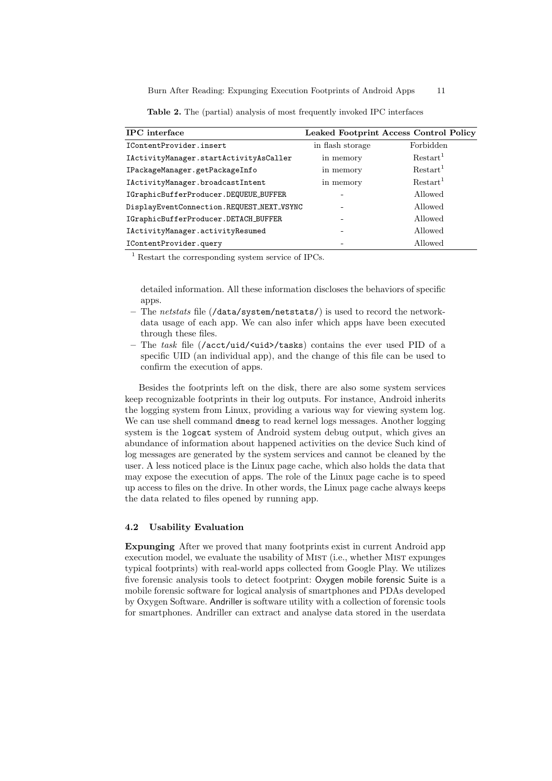Burn After Reading: Expunging Execution Footprints of Android Apps 11

| <b>IPC</b> interface                      | Leaked Footprint Access Control Policy |             |  |
|-------------------------------------------|----------------------------------------|-------------|--|
| IContentProvider.insert                   | in flash storage                       | Forbidden   |  |
| IActivityManager.startActivityAsCaller    | in memory                              | $Restart^1$ |  |
| IPackageManager.getPackageInfo            | in memory                              | $Restart^1$ |  |
| IActivityManager.broadcastIntent          | in memory                              | $Restart^1$ |  |
| IGraphicBufferProducer.DEQUEUE_BUFFER     |                                        | Allowed     |  |
| DisplayEventConnection.REQUEST_NEXT_VSYNC |                                        | Allowed     |  |
| IGraphicBufferProducer.DETACH_BUFFER      |                                        | Allowed     |  |
| IActivityManager.activityResumed          |                                        | Allowed     |  |
| IContentProvider.query                    |                                        | Allowed     |  |

<span id="page-10-0"></span>Table 2. The (partial) analysis of most frequently invoked IPC interfaces

 $<sup>1</sup>$  Restart the corresponding system service of IPCs.</sup>

detailed information. All these information discloses the behaviors of specific apps.

- The netstats file (/data/system/netstats/) is used to record the networkdata usage of each app. We can also infer which apps have been executed through these files.
- The task file  $\sqrt{\text{acct}/\text{uid}/\text{dabs}}$  contains the ever used PID of a specific UID (an individual app), and the change of this file can be used to confirm the execution of apps.

Besides the footprints left on the disk, there are also some system services keep recognizable footprints in their log outputs. For instance, Android inherits the logging system from Linux, providing a various way for viewing system log. We can use shell command dmesg to read kernel logs messages. Another logging system is the logcat system of Android system debug output, which gives an abundance of information about happened activities on the device Such kind of log messages are generated by the system services and cannot be cleaned by the user. A less noticed place is the Linux page cache, which also holds the data that may expose the execution of apps. The role of the Linux page cache is to speed up access to files on the drive. In other words, the Linux page cache always keeps the data related to files opened by running app.

#### 4.2 Usability Evaluation

Expunging After we proved that many footprints exist in current Android app execution model, we evaluate the usability of MIST (i.e., whether MIST expunges typical footprints) with real-world apps collected from Google Play. We utilizes five forensic analysis tools to detect footprint: Oxygen mobile forensic Suite is a mobile forensic software for logical analysis of smartphones and PDAs developed by Oxygen Software. Andriller is software utility with a collection of forensic tools for smartphones. Andriller can extract and analyse data stored in the userdata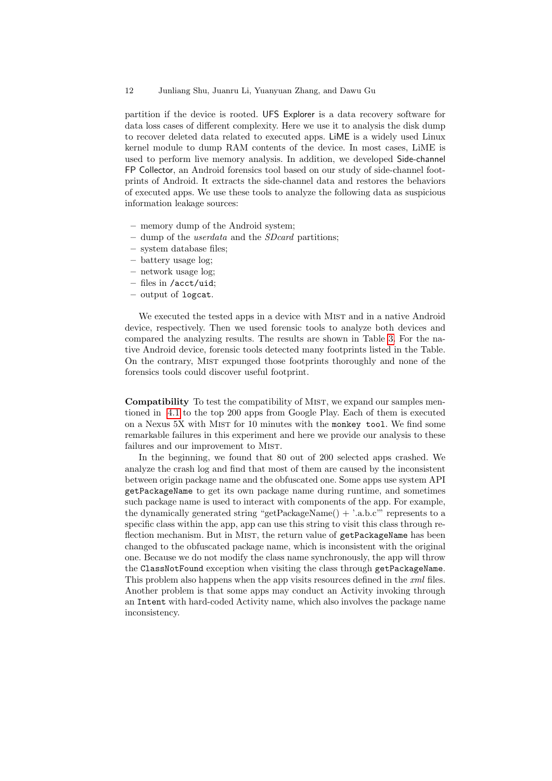partition if the device is rooted. UFS Explorer is a data recovery software for data loss cases of different complexity. Here we use it to analysis the disk dump to recover deleted data related to executed apps. LiME is a widely used Linux kernel module to dump RAM contents of the device. In most cases, LiME is used to perform live memory analysis. In addition, we developed Side-channel FP Collector, an Android forensics tool based on our study of side-channel footprints of Android. It extracts the side-channel data and restores the behaviors of executed apps. We use these tools to analyze the following data as suspicious information leakage sources:

- memory dump of the Android system;
- dump of the userdata and the SDcard partitions;
- system database files;
- battery usage log;
- network usage log;
- files in /acct/uid;
- output of logcat.

We executed the tested apps in a device with MIST and in a native Android device, respectively. Then we used forensic tools to analyze both devices and compared the analyzing results. The results are shown in Table [3.](#page-12-0) For the native Android device, forensic tools detected many footprints listed in the Table. On the contrary, Mist expunged those footprints thoroughly and none of the forensics tools could discover useful footprint.

Compatibility To test the compatibility of Mist, we expand our samples mentioned in [4.1](#page-9-0) to the top 200 apps from Google Play. Each of them is executed on a Nexus 5X with Mist for 10 minutes with the monkey tool. We find some remarkable failures in this experiment and here we provide our analysis to these failures and our improvement to MIST.

In the beginning, we found that 80 out of 200 selected apps crashed. We analyze the crash log and find that most of them are caused by the inconsistent between origin package name and the obfuscated one. Some apps use system API getPackageName to get its own package name during runtime, and sometimes such package name is used to interact with components of the app. For example, the dynamically generated string "getPackageName $() + 'a.b.c$ " represents to a specific class within the app, app can use this string to visit this class through reflection mechanism. But in MIST, the return value of getPackageName has been changed to the obfuscated package name, which is inconsistent with the original one. Because we do not modify the class name synchronously, the app will throw the ClassNotFound exception when visiting the class through getPackageName. This problem also happens when the app visits resources defined in the *xml* files. Another problem is that some apps may conduct an Activity invoking through an Intent with hard-coded Activity name, which also involves the package name inconsistency.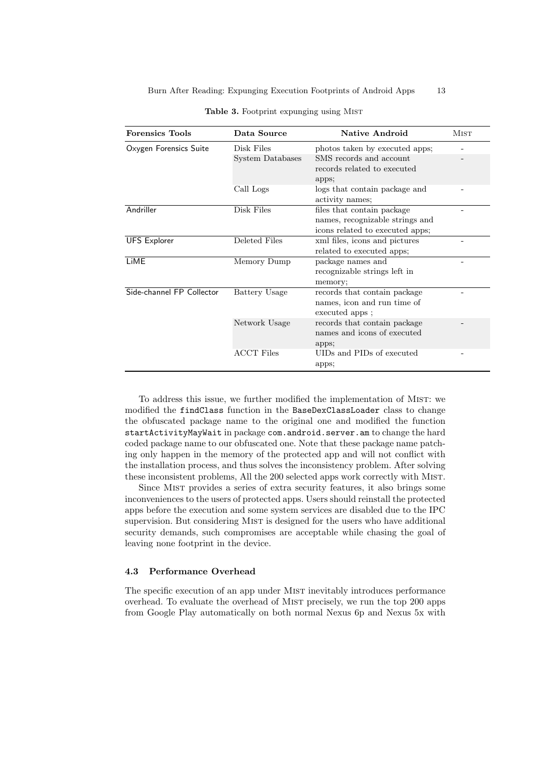| Data Source<br><b>Forensics Tools</b> |                   | <b>Native Android</b>                | <b>MIST</b> |  |
|---------------------------------------|-------------------|--------------------------------------|-------------|--|
| Oxygen Forensics Suite                | Disk Files        | photos taken by executed apps;       |             |  |
|                                       | System Databases  | SMS records and account              |             |  |
|                                       |                   | records related to executed<br>apps; |             |  |
|                                       | Call Logs         | logs that contain package and        |             |  |
|                                       |                   | activity names;                      |             |  |
| Andriller                             | Disk Files        | files that contain package           |             |  |
|                                       |                   | names, recognizable strings and      |             |  |
|                                       |                   | icons related to executed apps;      |             |  |
| <b>UFS Explorer</b>                   | Deleted Files     | xml files, icons and pictures        |             |  |
|                                       |                   | related to executed apps;            |             |  |
| LiME                                  | Memory Dump       | package names and                    |             |  |
|                                       |                   | recognizable strings left in         |             |  |
|                                       |                   | memory;                              |             |  |
| Side-channel FP Collector             | Battery Usage     | records that contain package         |             |  |
|                                       |                   | names, icon and run time of          |             |  |
|                                       |                   | executed apps;                       |             |  |
|                                       | Network Usage     | records that contain package         |             |  |
|                                       |                   | names and icons of executed          |             |  |
|                                       |                   | apps;                                |             |  |
|                                       | <b>ACCT Files</b> | UIDs and PIDs of executed            |             |  |
|                                       |                   | apps;                                |             |  |

<span id="page-12-0"></span>Table 3. Footprint expunging using Mist

To address this issue, we further modified the implementation of Mist: we modified the findClass function in the BaseDexClassLoader class to change the obfuscated package name to the original one and modified the function startActivityMayWait in package com.android.server.am to change the hard coded package name to our obfuscated one. Note that these package name patching only happen in the memory of the protected app and will not conflict with the installation process, and thus solves the inconsistency problem. After solving these inconsistent problems, All the 200 selected apps work correctly with Mist.

Since Mist provides a series of extra security features, it also brings some inconveniences to the users of protected apps. Users should reinstall the protected apps before the execution and some system services are disabled due to the IPC supervision. But considering MIST is designed for the users who have additional security demands, such compromises are acceptable while chasing the goal of leaving none footprint in the device.

#### 4.3 Performance Overhead

The specific execution of an app under MIST inevitably introduces performance overhead. To evaluate the overhead of Mist precisely, we run the top 200 apps from Google Play automatically on both normal Nexus 6p and Nexus 5x with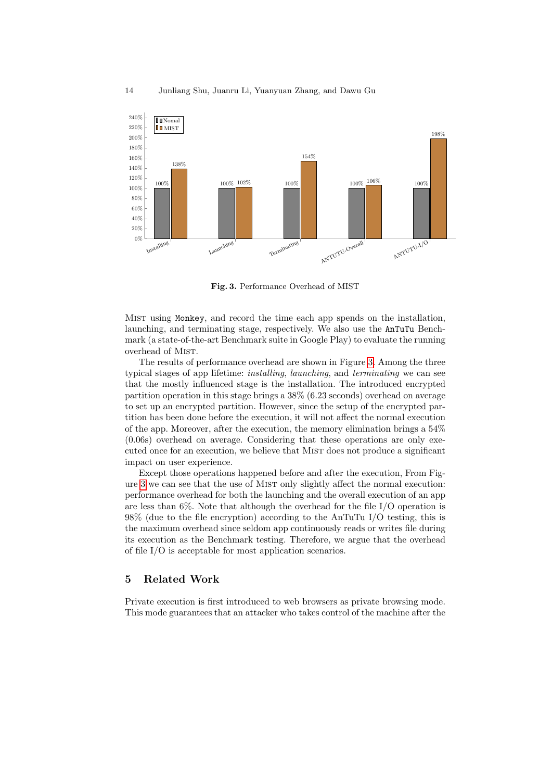

<span id="page-13-0"></span>Fig. 3. Performance Overhead of MIST

Mist using Monkey, and record the time each app spends on the installation, launching, and terminating stage, respectively. We also use the AnTuTu Benchmark (a state-of-the-art Benchmark suite in Google Play) to evaluate the running overhead of Mist.

The results of performance overhead are shown in Figure [3.](#page-13-0) Among the three typical stages of app lifetime: installing, launching, and terminating we can see that the mostly influenced stage is the installation. The introduced encrypted partition operation in this stage brings a 38% (6.23 seconds) overhead on average to set up an encrypted partition. However, since the setup of the encrypted partition has been done before the execution, it will not affect the normal execution of the app. Moreover, after the execution, the memory elimination brings a 54% (0.06s) overhead on average. Considering that these operations are only executed once for an execution, we believe that MIST does not produce a significant impact on user experience.

Except those operations happened before and after the execution, From Figure [3](#page-13-0) we can see that the use of Mist only slightly affect the normal execution: performance overhead for both the launching and the overall execution of an app are less than 6%. Note that although the overhead for the file I/O operation is 98% (due to the file encryption) according to the AnTuTu I/O testing, this is the maximum overhead since seldom app continuously reads or writes file during its execution as the Benchmark testing. Therefore, we argue that the overhead of file I/O is acceptable for most application scenarios.

# 5 Related Work

Private execution is first introduced to web browsers as private browsing mode. This mode guarantees that an attacker who takes control of the machine after the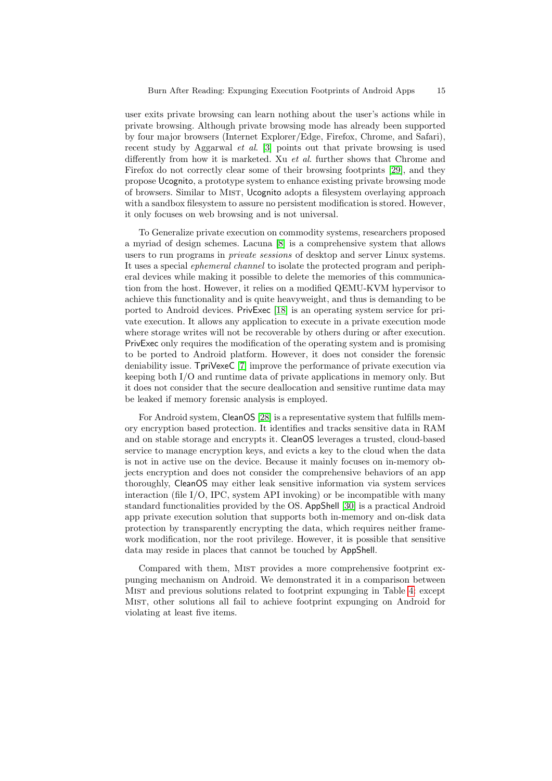user exits private browsing can learn nothing about the user's actions while in private browsing. Although private browsing mode has already been supported by four major browsers (Internet Explorer/Edge, Firefox, Chrome, and Safari), recent study by Aggarwal *et al.* [\[3\]](#page-15-2) points out that private browsing is used differently from how it is marketed. Xu *et al.* further shows that Chrome and Firefox do not correctly clear some of their browsing footprints [\[29\]](#page-17-10), and they propose Ucognito, a prototype system to enhance existing private browsing mode of browsers. Similar to Mist, Ucognito adopts a filesystem overlaying approach with a sandbox filesystem to assure no persistent modification is stored. However, it only focuses on web browsing and is not universal.

To Generalize private execution on commodity systems, researchers proposed a myriad of design schemes. Lacuna [\[8\]](#page-16-5) is a comprehensive system that allows users to run programs in private sessions of desktop and server Linux systems. It uses a special ephemeral channel to isolate the protected program and peripheral devices while making it possible to delete the memories of this communication from the host. However, it relies on a modified QEMU-KVM hypervisor to achieve this functionality and is quite heavyweight, and thus is demanding to be ported to Android devices. PrivExec [\[18\]](#page-16-2) is an operating system service for private execution. It allows any application to execute in a private execution mode where storage writes will not be recoverable by others during or after execution. PrivExec only requires the modification of the operating system and is promising to be ported to Android platform. However, it does not consider the forensic deniability issue. TpriVexeC [\[7\]](#page-16-17) improve the performance of private execution via keeping both I/O and runtime data of private applications in memory only. But it does not consider that the secure deallocation and sensitive runtime data may be leaked if memory forensic analysis is employed.

For Android system, CleanOS [\[28\]](#page-17-3) is a representative system that fulfills memory encryption based protection. It identifies and tracks sensitive data in RAM and on stable storage and encrypts it. CleanOS leverages a trusted, cloud-based service to manage encryption keys, and evicts a key to the cloud when the data is not in active use on the device. Because it mainly focuses on in-memory objects encryption and does not consider the comprehensive behaviors of an app thoroughly, CleanOS may either leak sensitive information via system services interaction (file I/O, IPC, system API invoking) or be incompatible with many standard functionalities provided by the OS. AppShell [\[30\]](#page-17-11) is a practical Android app private execution solution that supports both in-memory and on-disk data protection by transparently encrypting the data, which requires neither framework modification, nor the root privilege. However, it is possible that sensitive data may reside in places that cannot be touched by AppShell.

Compared with them, Mist provides a more comprehensive footprint expunging mechanism on Android. We demonstrated it in a comparison between Mist and previous solutions related to footprint expunging in Table [4:](#page-15-3) except Mist, other solutions all fail to achieve footprint expunging on Android for violating at least five items.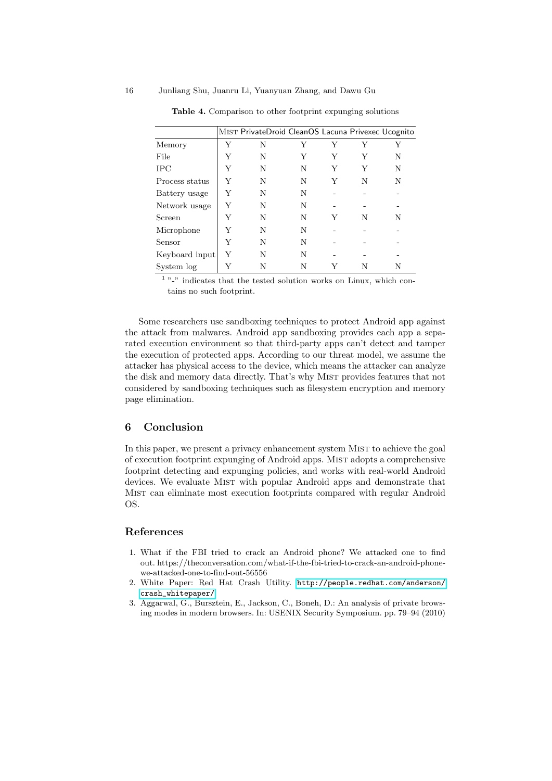|                |   | MIST PrivateDroid CleanOS Lacuna Privexec Ucognito |   |   |   |   |
|----------------|---|----------------------------------------------------|---|---|---|---|
| Memory         |   | N                                                  | Y |   |   |   |
| File           | Y | N                                                  | Y | Y | Y | N |
| IPC            |   | N                                                  | N | Y | Y | N |
| Process status | Y | N                                                  | N | Y | N | N |
| Battery usage  | Y | N                                                  | N |   |   |   |
| Network usage  | Y | N                                                  | N |   |   |   |
| Screen         |   | N                                                  | N | Y | N | N |
| Microphone     |   | N                                                  | N |   |   |   |
| Sensor         | Y | N                                                  | N |   |   |   |
| Keyboard input | Y | N                                                  | N |   |   |   |
| System log     |   |                                                    | N |   |   |   |

<span id="page-15-3"></span>Table 4. Comparison to other footprint expunging solutions

<sup>1</sup> "-" indicates that the tested solution works on Linux, which contains no such footprint.

Some researchers use sandboxing techniques to protect Android app against the attack from malwares. Android app sandboxing provides each app a separated execution environment so that third-party apps can't detect and tamper the execution of protected apps. According to our threat model, we assume the attacker has physical access to the device, which means the attacker can analyze the disk and memory data directly. That's why Mist provides features that not considered by sandboxing techniques such as filesystem encryption and memory page elimination.

## 6 Conclusion

In this paper, we present a privacy enhancement system MIST to achieve the goal of execution footprint expunging of Android apps. Mist adopts a comprehensive footprint detecting and expunging policies, and works with real-world Android devices. We evaluate MIST with popular Android apps and demonstrate that Mist can eliminate most execution footprints compared with regular Android OS.

# References

- <span id="page-15-0"></span>1. What if the FBI tried to crack an Android phone? We attacked one to find out. https://theconversation.com/what-if-the-fbi-tried-to-crack-an-android-phonewe-attacked-one-to-find-out-56556
- <span id="page-15-1"></span>2. White Paper: Red Hat Crash Utility. [http://people.redhat.com/anderson/](http://people.redhat.com/anderson/crash_whitepaper/) [crash\\_whitepaper/](http://people.redhat.com/anderson/crash_whitepaper/)
- <span id="page-15-2"></span>3. Aggarwal, G., Bursztein, E., Jackson, C., Boneh, D.: An analysis of private browsing modes in modern browsers. In: USENIX Security Symposium. pp. 79–94 (2010)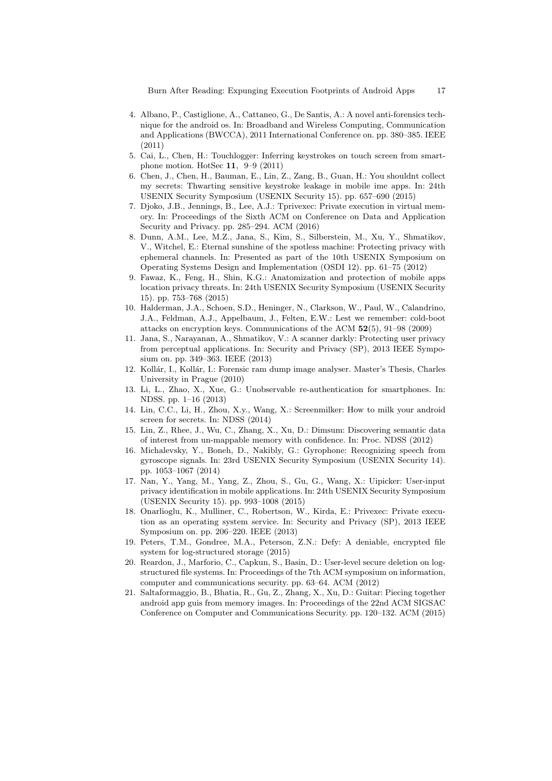Burn After Reading: Expunging Execution Footprints of Android Apps 17

- <span id="page-16-12"></span>4. Albano, P., Castiglione, A., Cattaneo, G., De Santis, A.: A novel anti-forensics technique for the android os. In: Broadband and Wireless Computing, Communication and Applications (BWCCA), 2011 International Conference on. pp. 380–385. IEEE (2011)
- <span id="page-16-14"></span>5. Cai, L., Chen, H.: Touchlogger: Inferring keystrokes on touch screen from smartphone motion. HotSec 11, 9–9 (2011)
- <span id="page-16-10"></span>6. Chen, J., Chen, H., Bauman, E., Lin, Z., Zang, B., Guan, H.: You shouldnt collect my secrets: Thwarting sensitive keystroke leakage in mobile ime apps. In: 24th USENIX Security Symposium (USENIX Security 15). pp. 657–690 (2015)
- <span id="page-16-17"></span>7. Djoko, J.B., Jennings, B., Lee, A.J.: Tprivexec: Private execution in virtual memory. In: Proceedings of the Sixth ACM on Conference on Data and Application Security and Privacy. pp. 285–294. ACM (2016)
- <span id="page-16-5"></span>8. Dunn, A.M., Lee, M.Z., Jana, S., Kim, S., Silberstein, M., Xu, Y., Shmatikov, V., Witchel, E.: Eternal sunshine of the spotless machine: Protecting privacy with ephemeral channels. In: Presented as part of the 10th USENIX Symposium on Operating Systems Design and Implementation (OSDI 12). pp. 61–75 (2012)
- <span id="page-16-13"></span>9. Fawaz, K., Feng, H., Shin, K.G.: Anatomization and protection of mobile apps location privacy threats. In: 24th USENIX Security Symposium (USENIX Security 15). pp. 753–768 (2015)
- <span id="page-16-11"></span>10. Halderman, J.A., Schoen, S.D., Heninger, N., Clarkson, W., Paul, W., Calandrino, J.A., Feldman, A.J., Appelbaum, J., Felten, E.W.: Lest we remember: cold-boot attacks on encryption keys. Communications of the ACM 52(5), 91–98 (2009)
- <span id="page-16-7"></span>11. Jana, S., Narayanan, A., Shmatikov, V.: A scanner darkly: Protecting user privacy from perceptual applications. In: Security and Privacy (SP), 2013 IEEE Symposium on. pp. 349–363. IEEE (2013)
- <span id="page-16-16"></span>12. Kollár, I., Kollár, I.: Forensic ram dump image analyser. Master's Thesis, Charles University in Prague (2010)
- <span id="page-16-8"></span>13. Li, L., Zhao, X., Xue, G.: Unobservable re-authentication for smartphones. In: NDSS. pp. 1–16 (2013)
- <span id="page-16-6"></span>14. Lin, C.C., Li, H., Zhou, X.y., Wang, X.: Screenmilker: How to milk your android screen for secrets. In: NDSS (2014)
- <span id="page-16-0"></span>15. Lin, Z., Rhee, J., Wu, C., Zhang, X., Xu, D.: Dimsum: Discovering semantic data of interest from un-mappable memory with confidence. In: Proc. NDSS (2012)
- <span id="page-16-9"></span>16. Michalevsky, Y., Boneh, D., Nakibly, G.: Gyrophone: Recognizing speech from gyroscope signals. In: 23rd USENIX Security Symposium (USENIX Security 14). pp. 1053–1067 (2014)
- <span id="page-16-15"></span>17. Nan, Y., Yang, M., Yang, Z., Zhou, S., Gu, G., Wang, X.: Uipicker: User-input privacy identification in mobile applications. In: 24th USENIX Security Symposium (USENIX Security 15). pp. 993–1008 (2015)
- <span id="page-16-2"></span>18. Onarlioglu, K., Mulliner, C., Robertson, W., Kirda, E.: Privexec: Private execution as an operating system service. In: Security and Privacy (SP), 2013 IEEE Symposium on. pp. 206–220. IEEE (2013)
- <span id="page-16-3"></span>19. Peters, T.M., Gondree, M.A., Peterson, Z.N.: Defy: A deniable, encrypted file system for log-structured storage (2015)
- <span id="page-16-4"></span>20. Reardon, J., Marforio, C., Capkun, S., Basin, D.: User-level secure deletion on logstructured file systems. In: Proceedings of the 7th ACM symposium on information, computer and communications security. pp. 63–64. ACM (2012)
- <span id="page-16-1"></span>21. Saltaformaggio, B., Bhatia, R., Gu, Z., Zhang, X., Xu, D.: Guitar: Piecing together android app guis from memory images. In: Proceedings of the 22nd ACM SIGSAC Conference on Computer and Communications Security. pp. 120–132. ACM (2015)